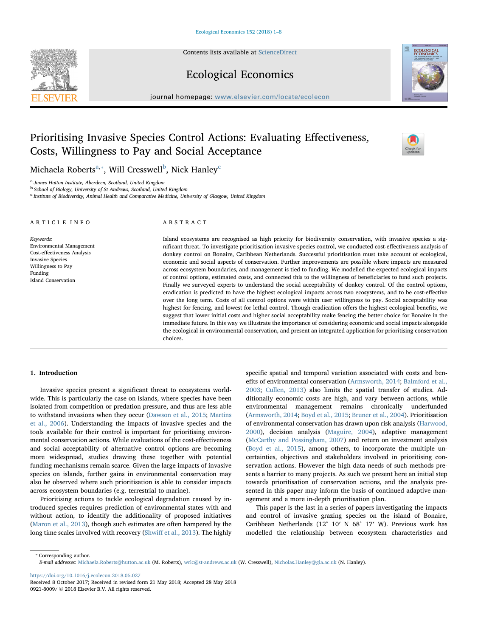Contents lists available at [ScienceDirect](http://www.sciencedirect.com/science/journal/09218009)



[T](http://crossmark.crossref.org/dialog/?doi=10.1016/j.ecolecon.2018.05.027&domain=pdf)

Ecological Economics

journal homepage: [www.elsevier.com/locate/ecolecon](https://www.elsevier.com/locate/ecolecon)

## Prioritising Invasive Species Control Actions: Evaluating Effectiveness, Costs, Willingness to Pay and Social Acceptance

Mich[a](#page-0-0)ela Ro[b](#page-0-2)erts $^{\mathrm{a},*}$ , Will Cresswell $^{\mathrm{b}}$ , Ni[c](#page-0-3)k Hanley $^{\mathrm{c}}$ 

<span id="page-0-0"></span><sup>a</sup> James Hutton Institute, Aberdeen, Scotland, United Kingdom

<span id="page-0-2"></span><sup>b</sup> School of Biology, University of St Andrews, Scotland, United Kingdom

<span id="page-0-3"></span>c Institute of Biodiversity, Animal Health and Comparative Medicine, University of Glasgow, United Kingdom

#### ARTICLE INFO

#### ABSTRACT

Keywords: Environmental Management Cost-effectiveness Analysis Invasive Species Willingness to Pay Funding Island Conservation

Island ecosystems are recognised as high priority for biodiversity conservation, with invasive species a significant threat. To investigate prioritisation invasive species control, we conducted cost-effectiveness analysis of donkey control on Bonaire, Caribbean Netherlands. Successful prioritisation must take account of ecological, economic and social aspects of conservation. Further improvements are possible where impacts are measured across ecosystem boundaries, and management is tied to funding. We modelled the expected ecological impacts of control options, estimated costs, and connected this to the willingness of beneficiaries to fund such projects. Finally we surveyed experts to understand the social acceptability of donkey control. Of the control options, eradication is predicted to have the highest ecological impacts across two ecosystems, and to be cost-effective over the long term. Costs of all control options were within user willingness to pay. Social acceptability was highest for fencing, and lowest for lethal control. Though eradication offers the highest ecological benefits, we suggest that lower initial costs and higher social acceptability make fencing the better choice for Bonaire in the immediate future. In this way we illustrate the importance of considering economic and social impacts alongside the ecological in environmental conservation, and present an integrated application for prioritising conservation choices.

### 1. Introduction

Invasive species present a significant threat to ecosystems worldwide. This is particularly the case on islands, where species have been isolated from competition or predation pressure, and thus are less able to withstand invasions when they occur [\(Dawson et al., 2015;](#page--1-0) [Martins](#page--1-1) [et al., 2006](#page--1-1)). Understanding the impacts of invasive species and the tools available for their control is important for prioritising environmental conservation actions. While evaluations of the cost-effectiveness and social acceptability of alternative control options are becoming more widespread, studies drawing these together with potential funding mechanisms remain scarce. Given the large impacts of invasive species on islands, further gains in environmental conservation may also be observed where such prioritisation is able to consider impacts across ecosystem boundaries (e.g. terrestrial to marine).

Prioritising actions to tackle ecological degradation caused by introduced species requires prediction of environmental states with and without action, to identify the additionality of proposed initiatives ([Maron et al., 2013](#page--1-2)), though such estimates are often hampered by the long time scales involved with recovery (Shwiff [et al., 2013](#page--1-3)). The highly

specific spatial and temporal variation associated with costs and benefits of environmental conservation ([Armsworth, 2014;](#page--1-4) [Balmford et al.,](#page--1-5) [2003;](#page--1-5) [Cullen, 2013](#page--1-6)) also limits the spatial transfer of studies. Additionally economic costs are high, and vary between actions, while environmental management remains chronically underfunded ([Armsworth, 2014](#page--1-4); [Boyd et al., 2015;](#page--1-7) [Bruner et al., 2004](#page--1-8)). Prioritisation of environmental conservation has drawn upon risk analysis ([Harwood,](#page--1-9) [2000\)](#page--1-9), decision analysis ([Maguire, 2004](#page--1-10)), adaptive management ([McCarthy and Possingham, 2007](#page--1-11)) and return on investment analysis ([Boyd et al., 2015](#page--1-7)), among others, to incorporate the multiple uncertainties, objectives and stakeholders involved in prioritising conservation actions. However the high data needs of such methods presents a barrier to many projects. As such we present here an initial step towards prioritisation of conservation actions, and the analysis presented in this paper may inform the basis of continued adaptive management and a more in-depth prioritisation plan.

This paper is the last in a series of papers investigating the impacts and control of invasive grazing species on the island of Bonaire, Caribbean Netherlands (12° 10′ N 68° 17′ W). Previous work has modelled the relationship between ecosystem characteristics and

<span id="page-0-1"></span>⁎ Corresponding author. E-mail addresses: [Michaela.Roberts@hutton.ac.uk](mailto:Michaela.Roberts@hutton.ac.uk) (M. Roberts), [wrlc@st-andrews.ac.uk](mailto:wrlc@st-andrews.ac.uk) (W. Cresswell), [Nicholas.Hanley@gla.ac.uk](mailto:Nicholas.Hanley@gla.ac.uk) (N. Hanley).

<https://doi.org/10.1016/j.ecolecon.2018.05.027>

Received 8 October 2017; Received in revised form 21 May 2018; Accepted 28 May 2018 0921-8009/ © 2018 Elsevier B.V. All rights reserved.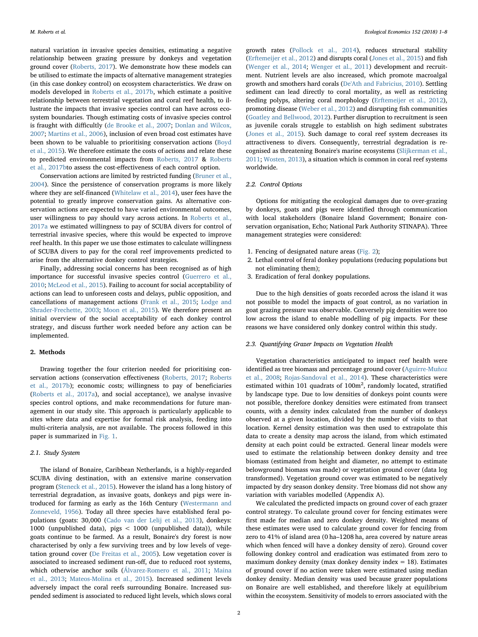natural variation in invasive species densities, estimating a negative relationship between grazing pressure by donkeys and vegetation ground cover ([Roberts, 2017\)](#page--1-12). We demonstrate how these models can be utilised to estimate the impacts of alternative management strategies (in this case donkey control) on ecosystem characteristics. We draw on models developed in [Roberts et al., 2017b](#page--1-13), which estimate a positive relationship between terrestrial vegetation and coral reef health, to illustrate the impacts that invasive species control can have across ecosystem boundaries. Though estimating costs of invasive species control is fraught with difficultly [\(de Brooke et al., 2007](#page--1-14); [Donlan and Wilcox,](#page--1-15) [2007;](#page--1-15) [Martins et al., 2006\)](#page--1-1), inclusion of even broad cost estimates have been shown to be valuable to prioritising conservation actions ([Boyd](#page--1-7) [et al., 2015](#page--1-7)). We therefore estimate the costs of actions and relate these to predicted environmental impacts from [Roberts, 2017](#page--1-12) & [Roberts](#page--1-13) [et al., 2017bt](#page--1-13)o assess the cost-effectiveness of each control option.

Conservation actions are limited by restricted funding [\(Bruner et al.,](#page--1-8) [2004\)](#page--1-8). Since the persistence of conservation programs is more likely where they are self-financed ([Whitelaw et al., 2014](#page--1-16)), user fees have the potential to greatly improve conservation gains. As alternative conservation actions are expected to have varied environmental outcomes, user willingness to pay should vary across actions. In [Roberts et al.,](#page--1-17) [2017a](#page--1-17) we estimated willingness to pay of SCUBA divers for control of terrestrial invasive species, where this would be expected to improve reef health. In this paper we use those estimates to calculate willingness of SCUBA divers to pay for the coral reef improvements predicted to arise from the alternative donkey control strategies.

Finally, addressing social concerns has been recognised as of high importance for successful invasive species control ([Guerrero et al.,](#page--1-18) [2010;](#page--1-18) [McLeod et al., 2015\)](#page--1-19). Failing to account for social acceptability of actions can lead to unforeseen costs and delays, public opposition, and cancellations of management actions [\(Frank et al., 2015;](#page--1-20) [Lodge and](#page--1-21) [Shrader-Frechette, 2003;](#page--1-21) [Moon et al., 2015\)](#page--1-22). We therefore present an initial overview of the social acceptability of each donkey control strategy, and discuss further work needed before any action can be implemented.

#### 2. Methods

Drawing together the four criterion needed for prioritising conservation actions (conservation effectiveness [\(Roberts, 2017;](#page--1-12) [Roberts](#page--1-13) [et al., 2017b\)](#page--1-13); economic costs; willingness to pay of beneficiaries ([Roberts et al., 2017a](#page--1-17)), and social acceptance), we analyse invasive species control options, and make recommendations for future management in our study site. This approach is particularly applicable to sites where data and expertise for formal risk analysis, feeding into multi-criteria analysis, are not available. The process followed in this paper is summarized in [Fig. 1.](#page--1-23)

#### 2.1. Study System

The island of Bonaire, Caribbean Netherlands, is a highly-regarded SCUBA diving destination, with an extensive marine conservation program ([Steneck et al., 2015](#page--1-24)). However the island has a long history of terrestrial degradation, as invasive goats, donkeys and pigs were introduced for farming as early as the 16th Century [\(Westermann](#page--1-25) and [Zonneveld, 1956](#page--1-25)). Today all three species have established feral populations (goats: 30,000 ([Cado van der Lelij et al., 2013](#page--1-26)), donkeys: 1000 (unpublished data), pigs < 1000 (unpublished data)), while goats continue to be farmed. As a result, Bonaire's dry forest is now characterised by only a few surviving trees and by low levels of vegetation ground cover ([De Freitas et al., 2005](#page--1-27)). Low vegetation cover is associated to increased sediment run-off, due to reduced root systems, which otherwise anchor soils [\(Álvarez-Romero et al., 2011;](#page--1-28) [Maina](#page--1-29) [et al., 2013;](#page--1-29) [Mateos-Molina et al., 2015](#page--1-30)). Increased sediment levels adversely impact the coral reefs surrounding Bonaire. Increased suspended sediment is associated to reduced light levels, which slows coral

growth rates [\(Pollock et al., 2014](#page--1-31)), reduces structural stability ([Erftemeijer et al., 2012\)](#page--1-32) and disrupts coral [\(Jones et al., 2015\)](#page--1-33) and fish ([Wenger et al., 2014](#page--1-34); [Wenger et al., 2011](#page--1-35)) development and recruitment. Nutrient levels are also increased, which promote macroalgal growth and smothers hard corals ([De'Ath and Fabricius, 2010](#page--1-36)). Settling sediment can lead directly to coral mortality, as well as restricting feeding polyps, altering coral morphology ([Erftemeijer et al., 2012](#page--1-32)), promoting disease ([Weber et al., 2012\)](#page--1-37) and disrupting fish communities ([Goatley and Bellwood, 2012\)](#page--1-38). Further disruption to recruitment is seen as juvenile corals struggle to establish on high sediment substrates ([Jones et al., 2015\)](#page--1-33). Such damage to coral reef system decreases its attractiveness to divers. Consequently, terrestrial degradation is recognised as threatening Bonaire's marine ecosystems ([Slijkerman et al.,](#page--1-39) [2011;](#page--1-39) [Wosten, 2013\)](#page--1-40), a situation which is common in coral reef systems worldwide.

#### 2.2. Control Options

Options for mitigating the ecological damages due to over-grazing by donkeys, goats and pigs were identified through communication with local stakeholders (Bonaire Island Government; Bonaire conservation organisation, Echo; National Park Authority STINAPA). Three management strategies were considered:

- 1. Fencing of designated nature areas [\(Fig. 2](#page--1-23));
- 2. Lethal control of feral donkey populations (reducing populations but not eliminating them);
- 3. Eradication of feral donkey populations.

Due to the high densities of goats recorded across the island it was not possible to model the impacts of goat control, as no variation in goat grazing pressure was observable. Conversely pig densities were too low across the island to enable modelling of pig impacts. For these reasons we have considered only donkey control within this study.

#### 2.3. Quantifying Grazer Impacts on Vegetation Health

Vegetation characteristics anticipated to impact reef health were identified as tree biomass and percentage ground cover [\(Aguirre-Muñoz](#page--1-41) [et al., 2008;](#page--1-41) [Rojas-Sandoval et al., 2014](#page--1-42)). These characteristics were estimated within 101 quadrats of  $100m^2$ , randomly located, stratified by landscape type. Due to low densities of donkeys point counts were not possible, therefore donkey densities were estimated from transect counts, with a density index calculated from the number of donkeys observed at a given location, divided by the number of visits to that location. Kernel density estimation was then used to extrapolate this data to create a density map across the island, from which estimated density at each point could be extracted. General linear models were used to estimate the relationship between donkey density and tree biomass (estimated from height and diameter, no attempt to estimate belowground biomass was made) or vegetation ground cover (data log transformed). Vegetation ground cover was estimated to be negatively impacted by dry season donkey density. Tree biomass did not show any variation with variables modelled (Appendix A).

We calculated the predicted impacts on ground cover of each grazer control strategy. To calculate ground cover for fencing estimates were first made for median and zero donkey density. Weighted means of these estimates were used to calculate ground cover for fencing from zero to 41% of island area (0 ha–1208 ha, area covered by nature areas which when fenced will have a donkey density of zero). Ground cover following donkey control and eradication was estimated from zero to maximum donkey density (max donkey density index  $= 18$ ). Estimates of ground cover if no action were taken were estimated using median donkey density. Median density was used because grazer populations on Bonaire are well established, and therefore likely at equilibrium within the ecosystem. Sensitivity of models to errors associated with the